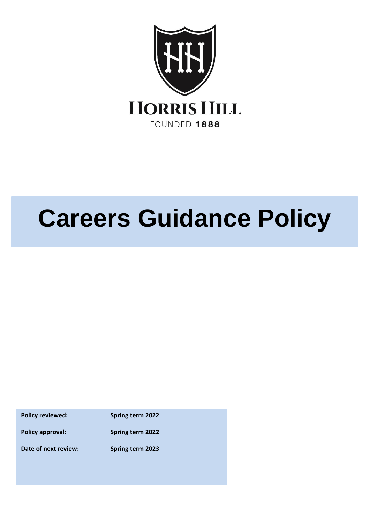

# **Careers Guidance Policy**

**Policy reviewed: Spring term 2022 Policy approval: Spring term 2022 Date of next review: Spring term 2023**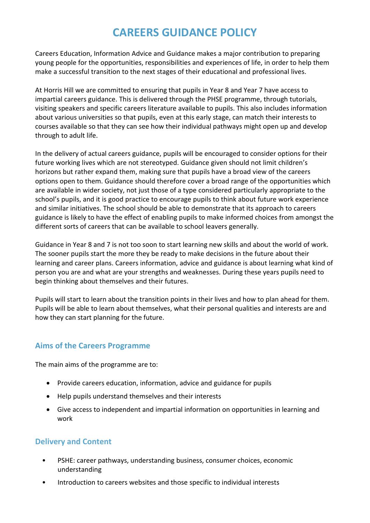# **CAREERS GUIDANCE POLICY**

Careers Education, Information Advice and Guidance makes a major contribution to preparing young people for the opportunities, responsibilities and experiences of life, in order to help them make a successful transition to the next stages of their educational and professional lives.

At Horris Hill we are committed to ensuring that pupils in Year 8 and Year 7 have access to impartial careers guidance. This is delivered through the PHSE programme, through tutorials, visiting speakers and specific careers literature available to pupils. This also includes information about various universities so that pupils, even at this early stage, can match their interests to courses available so that they can see how their individual pathways might open up and develop through to adult life.

In the delivery of actual careers guidance, pupils will be encouraged to consider options for their future working lives which are not stereotyped. Guidance given should not limit children's horizons but rather expand them, making sure that pupils have a broad view of the careers options open to them. Guidance should therefore cover a broad range of the opportunities which are available in wider society, not just those of a type considered particularly appropriate to the school's pupils, and it is good practice to encourage pupils to think about future work experience and similar initiatives. The school should be able to demonstrate that its approach to careers guidance is likely to have the effect of enabling pupils to make informed choices from amongst the different sorts of careers that can be available to school leavers generally.

Guidance in Year 8 and 7 is not too soon to start learning new skills and about the world of work. The sooner pupils start the more they be ready to make decisions in the future about their learning and career plans. Careers information, advice and guidance is about learning what kind of person you are and what are your strengths and weaknesses. During these years pupils need to begin thinking about themselves and their futures.

Pupils will start to learn about the transition points in their lives and how to plan ahead for them. Pupils will be able to learn about themselves, what their personal qualities and interests are and how they can start planning for the future.

# **Aims of the Careers Programme**

The main aims of the programme are to:

- Provide careers education, information, advice and guidance for pupils
- Help pupils understand themselves and their interests
- Give access to independent and impartial information on opportunities in learning and work

### **Delivery and Content**

- PSHE: career pathways, understanding business, consumer choices, economic understanding
- Introduction to careers websites and those specific to individual interests